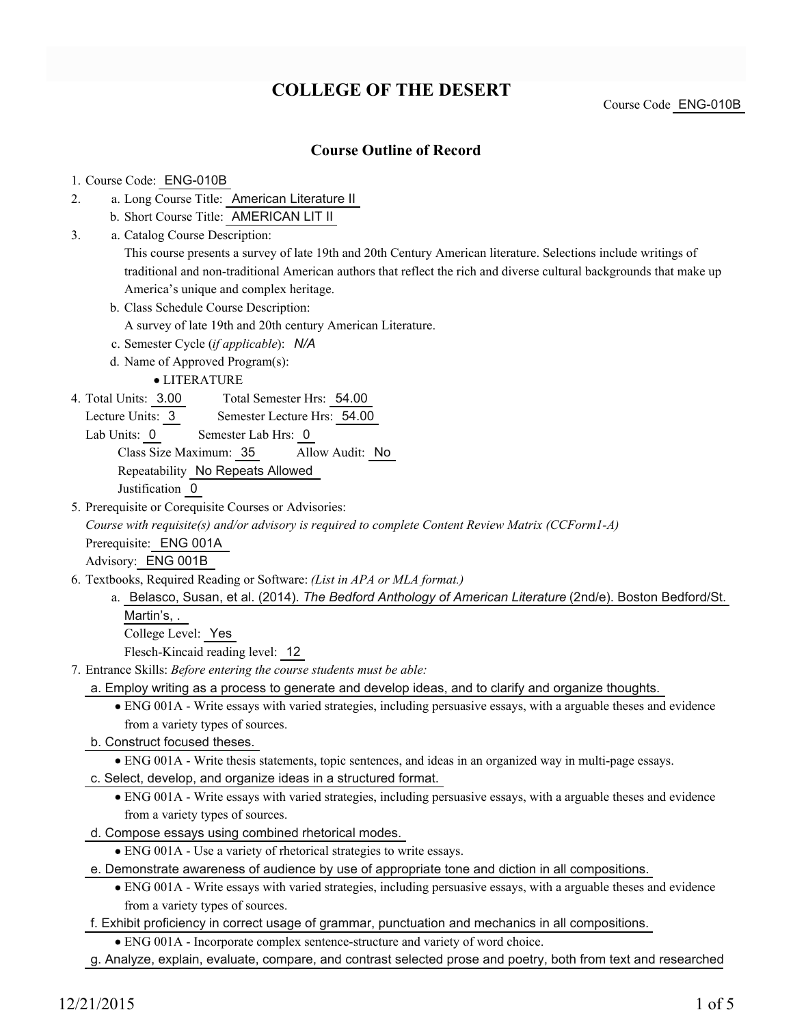## **COLLEGE OF THE DESERT**

Course Code ENG-010B

### **Course Outline of Record**

#### 1. Course Code: ENG-010B

- a. Long Course Title: American Literature II 2.
	- b. Short Course Title: AMERICAN LIT II
- Catalog Course Description: a. 3.

This course presents a survey of late 19th and 20th Century American literature. Selections include writings of traditional and non-traditional American authors that reflect the rich and diverse cultural backgrounds that make up America's unique and complex heritage.

- b. Class Schedule Course Description:
	- A survey of late 19th and 20th century American Literature.
- c. Semester Cycle (*if applicable*): *N/A*
- d. Name of Approved Program(s):

LITERATURE

- Total Semester Hrs: 54.00 4. Total Units: 3.00
	- Lecture Units: 3 Semester Lecture Hrs: 54.00

Lab Units: 0 Semester Lab Hrs: 0

Class Size Maximum: 35 Allow Audit: No

Repeatability No Repeats Allowed

Justification 0

5. Prerequisite or Corequisite Courses or Advisories:

*Course with requisite(s) and/or advisory is required to complete Content Review Matrix (CCForm1-A)*

Prerequisite: ENG 001A

Advisory: ENG 001B

- Textbooks, Required Reading or Software: *(List in APA or MLA format.)* 6.
	- a. Belasco, Susan, et al. (2014). *The Bedford Anthology of American Literature* (2nd/e). Boston Bedford/St. Martin's, .

College Level: Yes

Flesch-Kincaid reading level: 12

Entrance Skills: *Before entering the course students must be able:* 7.

a. Employ writing as a process to generate and develop ideas, and to clarify and organize thoughts.

- ENG 001A Write essays with varied strategies, including persuasive essays, with a arguable theses and evidence from a variety types of sources.
- b. Construct focused theses.
	- ENG 001A Write thesis statements, topic sentences, and ideas in an organized way in multi-page essays.
- c. Select, develop, and organize ideas in a structured format.
	- ENG 001A Write essays with varied strategies, including persuasive essays, with a arguable theses and evidence from a variety types of sources.
- d. Compose essays using combined rhetorical modes.
	- ENG 001A Use a variety of rhetorical strategies to write essays.
- e. Demonstrate awareness of audience by use of appropriate tone and diction in all compositions.
	- ENG 001A Write essays with varied strategies, including persuasive essays, with a arguable theses and evidence from a variety types of sources.
- f. Exhibit proficiency in correct usage of grammar, punctuation and mechanics in all compositions.
	- ENG 001A Incorporate complex sentence-structure and variety of word choice.
- g. Analyze, explain, evaluate, compare, and contrast selected prose and poetry, both from text and researched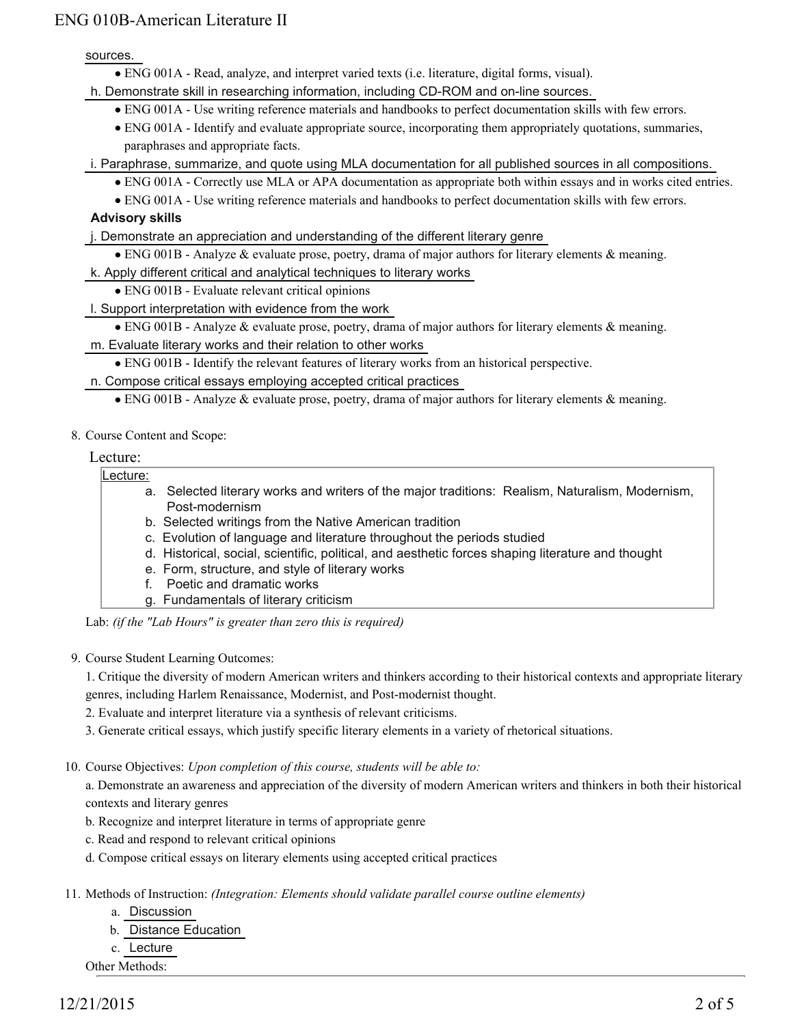sources.

ENG 001A - Read, analyze, and interpret varied texts (i.e. literature, digital forms, visual).

h. Demonstrate skill in researching information, including CD-ROM and on-line sources.

- ENG 001A Use writing reference materials and handbooks to perfect documentation skills with few errors.
- ENG 001A Identify and evaluate appropriate source, incorporating them appropriately quotations, summaries, paraphrases and appropriate facts.

i. Paraphrase, summarize, and quote using MLA documentation for all published sources in all compositions.

- ENG 001A Correctly use MLA or APA documentation as appropriate both within essays and in works cited entries.
- ENG 001A Use writing reference materials and handbooks to perfect documentation skills with few errors.

#### **Advisory skills**

- j. Demonstrate an appreciation and understanding of the different literary genre
- ENG 001B Analyze & evaluate prose, poetry, drama of major authors for literary elements & meaning.

k. Apply different critical and analytical techniques to literary works

- ENG 001B Evaluate relevant critical opinions
- l. Support interpretation with evidence from the work
	- ENG 001B Analyze & evaluate prose, poetry, drama of major authors for literary elements & meaning.
- m. Evaluate literary works and their relation to other works

ENG 001B - Identify the relevant features of literary works from an historical perspective.

n. Compose critical essays employing accepted critical practices

- ENG 001B Analyze & evaluate prose, poetry, drama of major authors for literary elements & meaning.
- 8. Course Content and Scope:

#### Lecture:

#### Lecture:

- a. Selected literary works and writers of the major traditions: Realism, Naturalism, Modernism, Post-modernism
- b. Selected writings from the Native American tradition
- c. Evolution of language and literature throughout the periods studied
- d. Historical, social, scientific, political, and aesthetic forces shaping literature and thought
- e. Form, structure, and style of literary works
- f. Poetic and dramatic works
- g. Fundamentals of literary criticism

Lab: *(if the "Lab Hours" is greater than zero this is required)*

9. Course Student Learning Outcomes:

1. Critique the diversity of modern American writers and thinkers according to their historical contexts and appropriate literary genres, including Harlem Renaissance, Modernist, and Post-modernist thought.

- 2. Evaluate and interpret literature via a synthesis of relevant criticisms.
- 3. Generate critical essays, which justify specific literary elements in a variety of rhetorical situations.
- 10. Course Objectives: Upon completion of this course, students will be able to:

a. Demonstrate an awareness and appreciation of the diversity of modern American writers and thinkers in both their historical contexts and literary genres

- b. Recognize and interpret literature in terms of appropriate genre
- c. Read and respond to relevant critical opinions
- d. Compose critical essays on literary elements using accepted critical practices
- 11. Methods of Instruction: *(Integration: Elements should validate parallel course outline elements)* 
	- a. Discussion
	- b. Distance Education
	- c. Lecture

Other Methods: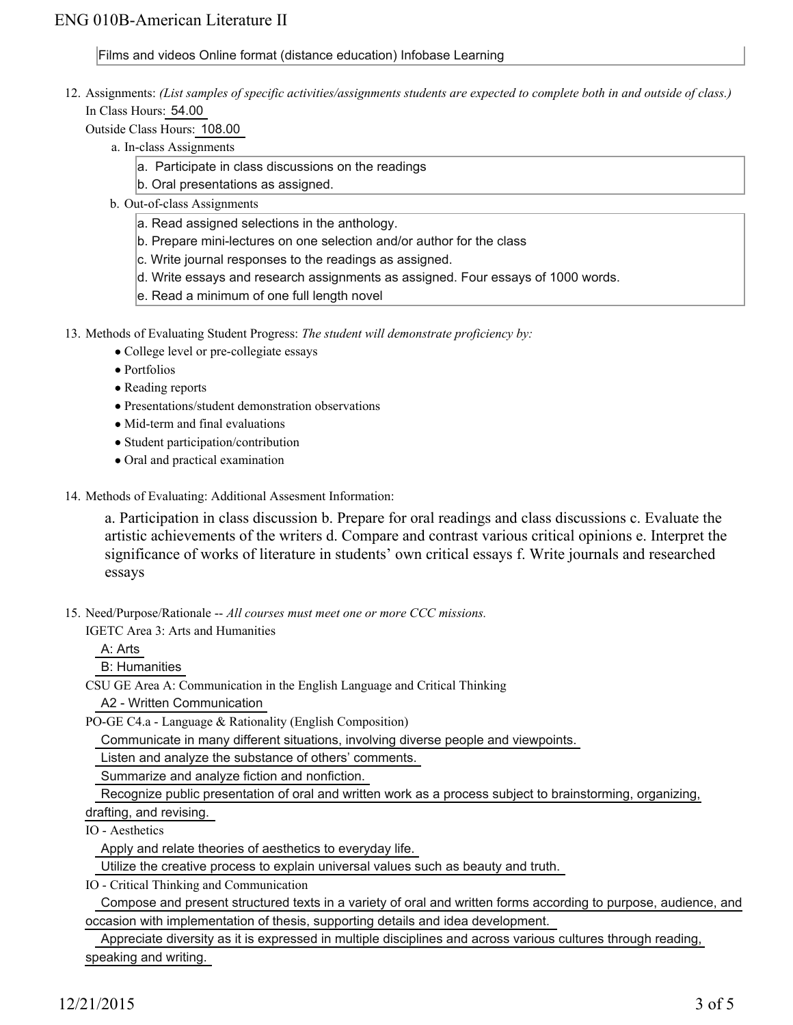#### Films and videos Online format (distance education) Infobase Learning

12. Assignments: (List samples of specific activities/assignments students are expected to complete both in and outside of class.) In Class Hours: 54.00

Outside Class Hours: 108.00

- a. In-class Assignments
	- a. Participate in class discussions on the readings
	- b. Oral presentations as assigned.
	- b. Out-of-class Assignments
		- a. Read assigned selections in the anthology.
		- b. Prepare mini-lectures on one selection and/or author for the class
		- c. Write journal responses to the readings as assigned.
		- d. Write essays and research assignments as assigned. Four essays of 1000 words.
		- e. Read a minimum of one full length novel

13. Methods of Evaluating Student Progress: The student will demonstrate proficiency by:

- College level or pre-collegiate essays
- Portfolios
- Reading reports
- Presentations/student demonstration observations
- Mid-term and final evaluations
- Student participation/contribution
- Oral and practical examination
- 14. Methods of Evaluating: Additional Assesment Information:

a. Participation in class discussion b. Prepare for oral readings and class discussions c. Evaluate the artistic achievements of the writers d. Compare and contrast various critical opinions e. Interpret the significance of works of literature in students' own critical essays f. Write journals and researched essays

15. Need/Purpose/Rationale -- All courses must meet one or more CCC missions.

IGETC Area 3: Arts and Humanities

A: Arts

B: Humanities

CSU GE Area A: Communication in the English Language and Critical Thinking

A2 - Written Communication

PO-GE C4.a - Language & Rationality (English Composition)

Communicate in many different situations, involving diverse people and viewpoints.

Listen and analyze the substance of others' comments.

Summarize and analyze fiction and nonfiction.

Recognize public presentation of oral and written work as a process subject to brainstorming, organizing,

drafting, and revising.

IO - Aesthetics

Apply and relate theories of aesthetics to everyday life.

Utilize the creative process to explain universal values such as beauty and truth.

IO - Critical Thinking and Communication

 Compose and present structured texts in a variety of oral and written forms according to purpose, audience, and occasion with implementation of thesis, supporting details and idea development.

 Appreciate diversity as it is expressed in multiple disciplines and across various cultures through reading, speaking and writing.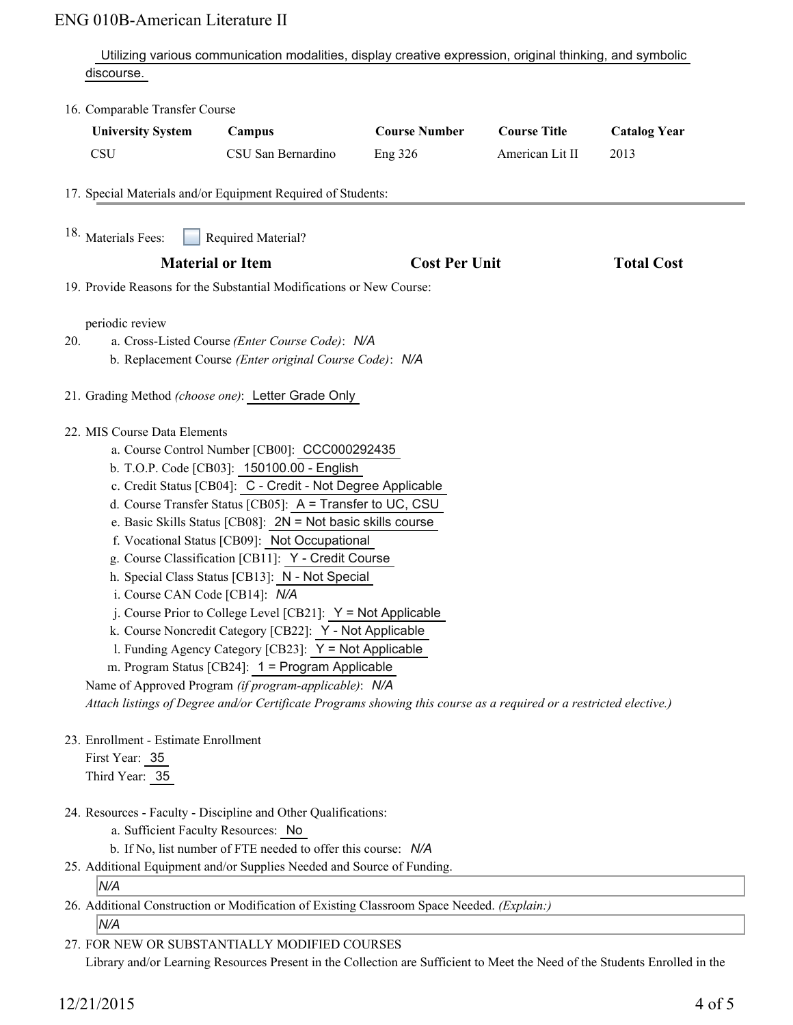Utilizing various communication modalities, display creative expression, original thinking, and symbolic discourse.

| <b>University System</b><br><b>CSU</b>                                   | Campus<br>CSU San Bernardino                                                                                                                                                                                                                                                                                                                                                                                                                                                                                                                                                                                                                                                                                                                                                                                                                                               | <b>Course Number</b><br><b>Eng 326</b> | <b>Course Title</b><br>American Lit II | <b>Catalog Year</b><br>2013 |
|--------------------------------------------------------------------------|----------------------------------------------------------------------------------------------------------------------------------------------------------------------------------------------------------------------------------------------------------------------------------------------------------------------------------------------------------------------------------------------------------------------------------------------------------------------------------------------------------------------------------------------------------------------------------------------------------------------------------------------------------------------------------------------------------------------------------------------------------------------------------------------------------------------------------------------------------------------------|----------------------------------------|----------------------------------------|-----------------------------|
|                                                                          | 17. Special Materials and/or Equipment Required of Students:                                                                                                                                                                                                                                                                                                                                                                                                                                                                                                                                                                                                                                                                                                                                                                                                               |                                        |                                        |                             |
|                                                                          |                                                                                                                                                                                                                                                                                                                                                                                                                                                                                                                                                                                                                                                                                                                                                                                                                                                                            |                                        |                                        |                             |
| <sup>18.</sup> Materials Fees:                                           | <b>Required Material?</b>                                                                                                                                                                                                                                                                                                                                                                                                                                                                                                                                                                                                                                                                                                                                                                                                                                                  |                                        |                                        |                             |
| <b>Material or Item</b>                                                  |                                                                                                                                                                                                                                                                                                                                                                                                                                                                                                                                                                                                                                                                                                                                                                                                                                                                            | <b>Cost Per Unit</b>                   |                                        | <b>Total Cost</b>           |
|                                                                          | 19. Provide Reasons for the Substantial Modifications or New Course:                                                                                                                                                                                                                                                                                                                                                                                                                                                                                                                                                                                                                                                                                                                                                                                                       |                                        |                                        |                             |
| periodic review<br>20.                                                   | a. Cross-Listed Course (Enter Course Code): N/A<br>b. Replacement Course (Enter original Course Code): N/A                                                                                                                                                                                                                                                                                                                                                                                                                                                                                                                                                                                                                                                                                                                                                                 |                                        |                                        |                             |
|                                                                          | 21. Grading Method (choose one): Letter Grade Only                                                                                                                                                                                                                                                                                                                                                                                                                                                                                                                                                                                                                                                                                                                                                                                                                         |                                        |                                        |                             |
| 22. MIS Course Data Elements<br>i. Course CAN Code [CB14]: N/A           | a. Course Control Number [CB00]: CCC000292435<br>b. T.O.P. Code [CB03]: 150100.00 - English<br>c. Credit Status [CB04]: C - Credit - Not Degree Applicable<br>d. Course Transfer Status [CB05]: A = Transfer to UC, CSU<br>e. Basic Skills Status [CB08]: $2N = Not basic skills course$<br>f. Vocational Status [CB09]: Not Occupational<br>g. Course Classification [CB11]: Y - Credit Course<br>h. Special Class Status [CB13]: N - Not Special<br>j. Course Prior to College Level [CB21]: $Y = Not$ Applicable<br>k. Course Noncredit Category [CB22]: Y - Not Applicable<br>1. Funding Agency Category [CB23]: Y = Not Applicable<br>m. Program Status [CB24]: 1 = Program Applicable<br>Name of Approved Program (if program-applicable): N/A<br>Attach listings of Degree and/or Certificate Programs showing this course as a required or a restricted elective.) |                                        |                                        |                             |
| 23. Enrollment - Estimate Enrollment<br>First Year: 35<br>Third Year: 35 |                                                                                                                                                                                                                                                                                                                                                                                                                                                                                                                                                                                                                                                                                                                                                                                                                                                                            |                                        |                                        |                             |
| a. Sufficient Faculty Resources: No                                      | 24. Resources - Faculty - Discipline and Other Qualifications:<br>b. If No, list number of FTE needed to offer this course: N/A<br>25. Additional Equipment and/or Supplies Needed and Source of Funding.                                                                                                                                                                                                                                                                                                                                                                                                                                                                                                                                                                                                                                                                  |                                        |                                        |                             |
| N/A                                                                      |                                                                                                                                                                                                                                                                                                                                                                                                                                                                                                                                                                                                                                                                                                                                                                                                                                                                            |                                        |                                        |                             |
|                                                                          | 26. Additional Construction or Modification of Existing Classroom Space Needed. (Explain:)                                                                                                                                                                                                                                                                                                                                                                                                                                                                                                                                                                                                                                                                                                                                                                                 |                                        |                                        |                             |
| N/A                                                                      |                                                                                                                                                                                                                                                                                                                                                                                                                                                                                                                                                                                                                                                                                                                                                                                                                                                                            |                                        |                                        |                             |
|                                                                          | 27. FOR NEW OR SUBSTANTIALLY MODIFIED COURSES                                                                                                                                                                                                                                                                                                                                                                                                                                                                                                                                                                                                                                                                                                                                                                                                                              |                                        |                                        |                             |
|                                                                          | Library and/or Learning Resources Present in the Collection are Sufficient to Meet the Need of the Students Enrolled in the                                                                                                                                                                                                                                                                                                                                                                                                                                                                                                                                                                                                                                                                                                                                                |                                        |                                        |                             |

12/21/2015 4 of 5